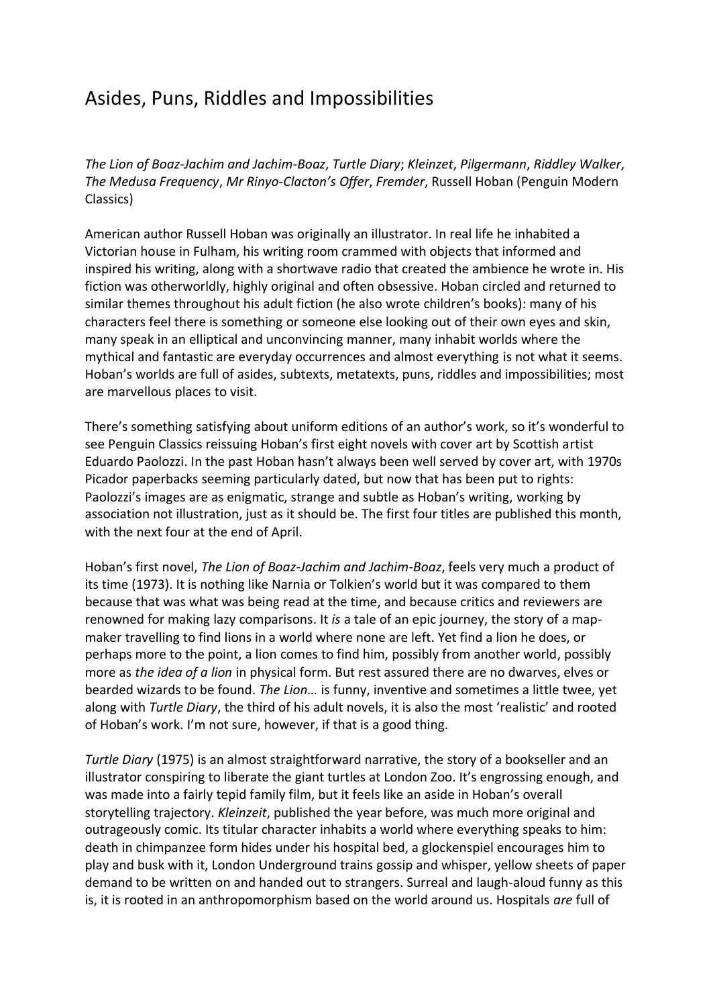## Asides, Puns, Riddles and Impossibilities

*The Lion of Boaz-Jachim and Jachim-Boaz*, *Turtle Diary*; *Kleinzet*, *Pilgermann*, *Riddley Walker*, *The Medusa Frequency*, *Mr Rinyo-Clacton's Offer*, *Fremder*, Russell Hoban (Penguin Modern Classics)

American author Russell Hoban was originally an illustrator. In real life he inhabited a Victorian house in Fulham, his writing room crammed with objects that informed and inspired his writing, along with a shortwave radio that created the ambience he wrote in. His fiction was otherworldly, highly original and often obsessive. Hoban circled and returned to similar themes throughout his adult fiction (he also wrote children's books): many of his characters feel there is something or someone else looking out of their own eyes and skin, many speak in an elliptical and unconvincing manner, many inhabit worlds where the mythical and fantastic are everyday occurrences and almost everything is not what it seems. Hoban's worlds are full of asides, subtexts, metatexts, puns, riddles and impossibilities; most are marvellous places to visit.

There's something satisfying about uniform editions of an author's work, so it's wonderful to see Penguin Classics reissuing Hoban's first eight novels with cover art by Scottish artist Eduardo Paolozzi. In the past Hoban hasn't always been well served by cover art, with 1970s Picador paperbacks seeming particularly dated, but now that has been put to rights: Paolozzi's images are as enigmatic, strange and subtle as Hoban's writing, working by association not illustration, just as it should be. The first four titles are published this month, with the next four at the end of April.

Hoban's first novel, *The Lion of Boaz-Jachim and Jachim-Boaz*, feels very much a product of its time (1973). It is nothing like Narnia or Tolkien's world but it was compared to them because that was what was being read at the time, and because critics and reviewers are renowned for making lazy comparisons. It *is* a tale of an epic journey, the story of a mapmaker travelling to find lions in a world where none are left. Yet find a lion he does, or perhaps more to the point, a lion comes to find him, possibly from another world, possibly more as *the idea of a lion* in physical form. But rest assured there are no dwarves, elves or bearded wizards to be found. *The Lion…* is funny, inventive and sometimes a little twee, yet along with *Turtle Diary*, the third of his adult novels, it is also the most 'realistic' and rooted of Hoban's work. I'm not sure, however, if that is a good thing.

*Turtle Diary* (1975) is an almost straightforward narrative, the story of a bookseller and an illustrator conspiring to liberate the giant turtles at London Zoo. It's engrossing enough, and was made into a fairly tepid family film, but it feels like an aside in Hoban's overall storytelling trajectory. *Kleinzeit*, published the year before, was much more original and outrageously comic. Its titular character inhabits a world where everything speaks to him: death in chimpanzee form hides under his hospital bed, a glockenspiel encourages him to play and busk with it, London Underground trains gossip and whisper, yellow sheets of paper demand to be written on and handed out to strangers. Surreal and laugh-aloud funny as this is, it is rooted in an anthropomorphism based on the world around us. Hospitals *are* full of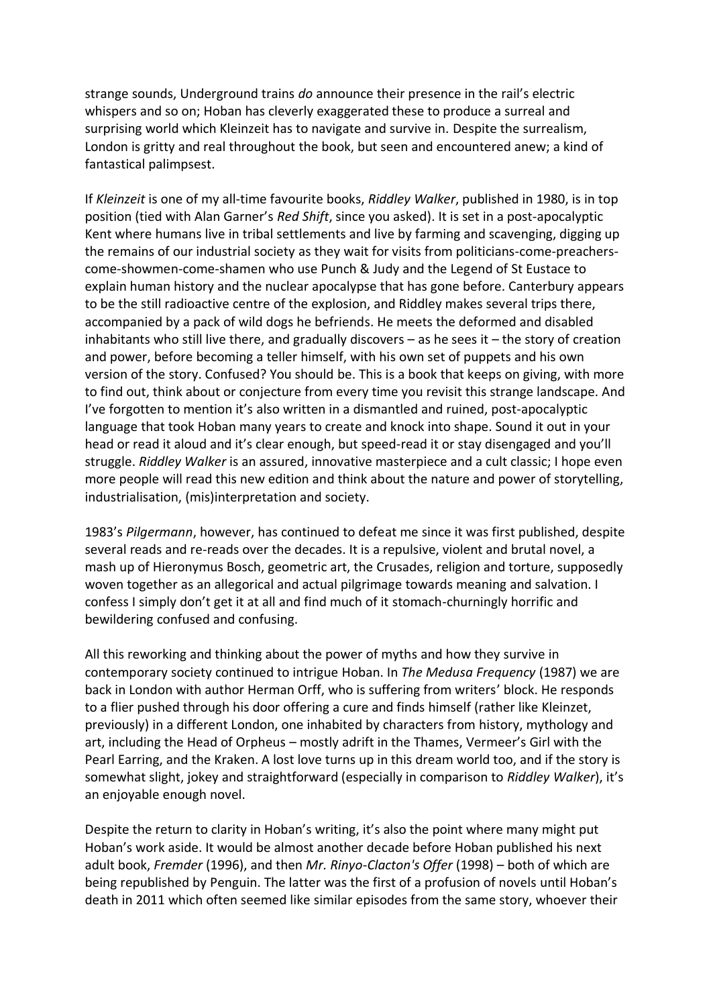strange sounds, Underground trains *do* announce their presence in the rail's electric whispers and so on; Hoban has cleverly exaggerated these to produce a surreal and surprising world which Kleinzeit has to navigate and survive in. Despite the surrealism, London is gritty and real throughout the book, but seen and encountered anew; a kind of fantastical palimpsest.

If *Kleinzeit* is one of my all-time favourite books, *Riddley Walker*, published in 1980, is in top position (tied with Alan Garner's *Red Shift*, since you asked). It is set in a post-apocalyptic Kent where humans live in tribal settlements and live by farming and scavenging, digging up the remains of our industrial society as they wait for visits from politicians-come-preacherscome-showmen-come-shamen who use Punch & Judy and the Legend of St Eustace to explain human history and the nuclear apocalypse that has gone before. Canterbury appears to be the still radioactive centre of the explosion, and Riddley makes several trips there, accompanied by a pack of wild dogs he befriends. He meets the deformed and disabled inhabitants who still live there, and gradually discovers  $-$  as he sees it  $-$  the story of creation and power, before becoming a teller himself, with his own set of puppets and his own version of the story. Confused? You should be. This is a book that keeps on giving, with more to find out, think about or conjecture from every time you revisit this strange landscape. And I've forgotten to mention it's also written in a dismantled and ruined, post-apocalyptic language that took Hoban many years to create and knock into shape. Sound it out in your head or read it aloud and it's clear enough, but speed-read it or stay disengaged and you'll struggle. *Riddley Walker* is an assured, innovative masterpiece and a cult classic; I hope even more people will read this new edition and think about the nature and power of storytelling, industrialisation, (mis)interpretation and society.

1983's *Pilgermann*, however, has continued to defeat me since it was first published, despite several reads and re-reads over the decades. It is a repulsive, violent and brutal novel, a mash up of Hieronymus Bosch, geometric art, the Crusades, religion and torture, supposedly woven together as an allegorical and actual pilgrimage towards meaning and salvation. I confess I simply don't get it at all and find much of it stomach-churningly horrific and bewildering confused and confusing.

All this reworking and thinking about the power of myths and how they survive in contemporary society continued to intrigue Hoban. In *The Medusa Frequency* (1987) we are back in London with author Herman Orff, who is suffering from writers' block. He responds to a flier pushed through his door offering a cure and finds himself (rather like Kleinzet, previously) in a different London, one inhabited by characters from history, mythology and art, including the Head of Orpheus – mostly adrift in the Thames, Vermeer's Girl with the Pearl Earring, and the Kraken. A lost love turns up in this dream world too, and if the story is somewhat slight, jokey and straightforward (especially in comparison to *Riddley Walker*), it's an enjoyable enough novel.

Despite the return to clarity in Hoban's writing, it's also the point where many might put Hoban's work aside. It would be almost another decade before Hoban published his next adult book, *Fremder* (1996), and then *Mr. Rinyo-Clacton's Offer* (1998) – both of which are being republished by Penguin. The latter was the first of a profusion of novels until Hoban's death in 2011 which often seemed like similar episodes from the same story, whoever their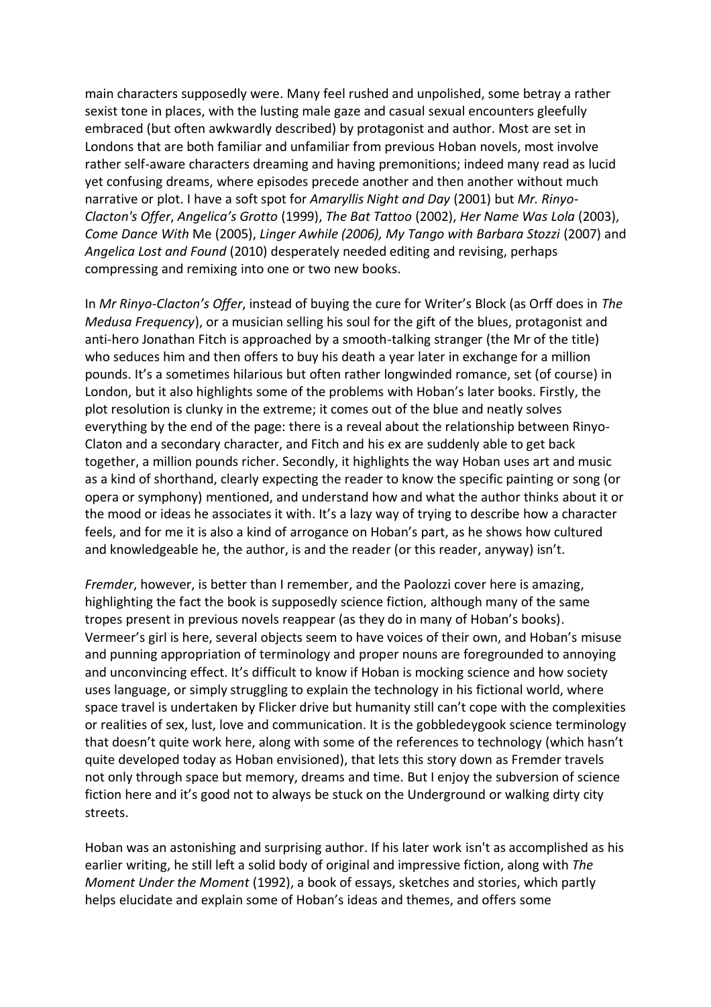main characters supposedly were. Many feel rushed and unpolished, some betray a rather sexist tone in places, with the lusting male gaze and casual sexual encounters gleefully embraced (but often awkwardly described) by protagonist and author. Most are set in Londons that are both familiar and unfamiliar from previous Hoban novels, most involve rather self-aware characters dreaming and having premonitions; indeed many read as lucid yet confusing dreams, where episodes precede another and then another without much narrative or plot. I have a soft spot for *Amaryllis Night and Day* (2001) but *Mr. Rinyo-Clacton's Offer*, *Angelica's Grotto* (1999), *The Bat Tattoo* (2002), *Her Name Was Lola* (2003), *Come Dance With* Me (2005), *Linger Awhile (2006), My Tango with Barbara Stozzi* (2007) and *Angelica Lost and Found* (2010) desperately needed editing and revising, perhaps compressing and remixing into one or two new books.

In *Mr Rinyo-Clacton's Offer*, instead of buying the cure for Writer's Block (as Orff does in *The Medusa Frequency*), or a musician selling his soul for the gift of the blues, protagonist and anti-hero Jonathan Fitch is approached by a smooth-talking stranger (the Mr of the title) who seduces him and then offers to buy his death a year later in exchange for a million pounds. It's a sometimes hilarious but often rather longwinded romance, set (of course) in London, but it also highlights some of the problems with Hoban's later books. Firstly, the plot resolution is clunky in the extreme; it comes out of the blue and neatly solves everything by the end of the page: there is a reveal about the relationship between Rinyo-Claton and a secondary character, and Fitch and his ex are suddenly able to get back together, a million pounds richer. Secondly, it highlights the way Hoban uses art and music as a kind of shorthand, clearly expecting the reader to know the specific painting or song (or opera or symphony) mentioned, and understand how and what the author thinks about it or the mood or ideas he associates it with. It's a lazy way of trying to describe how a character feels, and for me it is also a kind of arrogance on Hoban's part, as he shows how cultured and knowledgeable he, the author, is and the reader (or this reader, anyway) isn't.

*Fremder*, however, is better than I remember, and the Paolozzi cover here is amazing, highlighting the fact the book is supposedly science fiction, although many of the same tropes present in previous novels reappear (as they do in many of Hoban's books). Vermeer's girl is here, several objects seem to have voices of their own, and Hoban's misuse and punning appropriation of terminology and proper nouns are foregrounded to annoying and unconvincing effect. It's difficult to know if Hoban is mocking science and how society uses language, or simply struggling to explain the technology in his fictional world, where space travel is undertaken by Flicker drive but humanity still can't cope with the complexities or realities of sex, lust, love and communication. It is the gobbledeygook science terminology that doesn't quite work here, along with some of the references to technology (which hasn't quite developed today as Hoban envisioned), that lets this story down as Fremder travels not only through space but memory, dreams and time. But I enjoy the subversion of science fiction here and it's good not to always be stuck on the Underground or walking dirty city streets.

Hoban was an astonishing and surprising author. If his later work isn't as accomplished as his earlier writing, he still left a solid body of original and impressive fiction, along with *The Moment Under the Moment* (1992), a book of essays, sketches and stories, which partly helps elucidate and explain some of Hoban's ideas and themes, and offers some